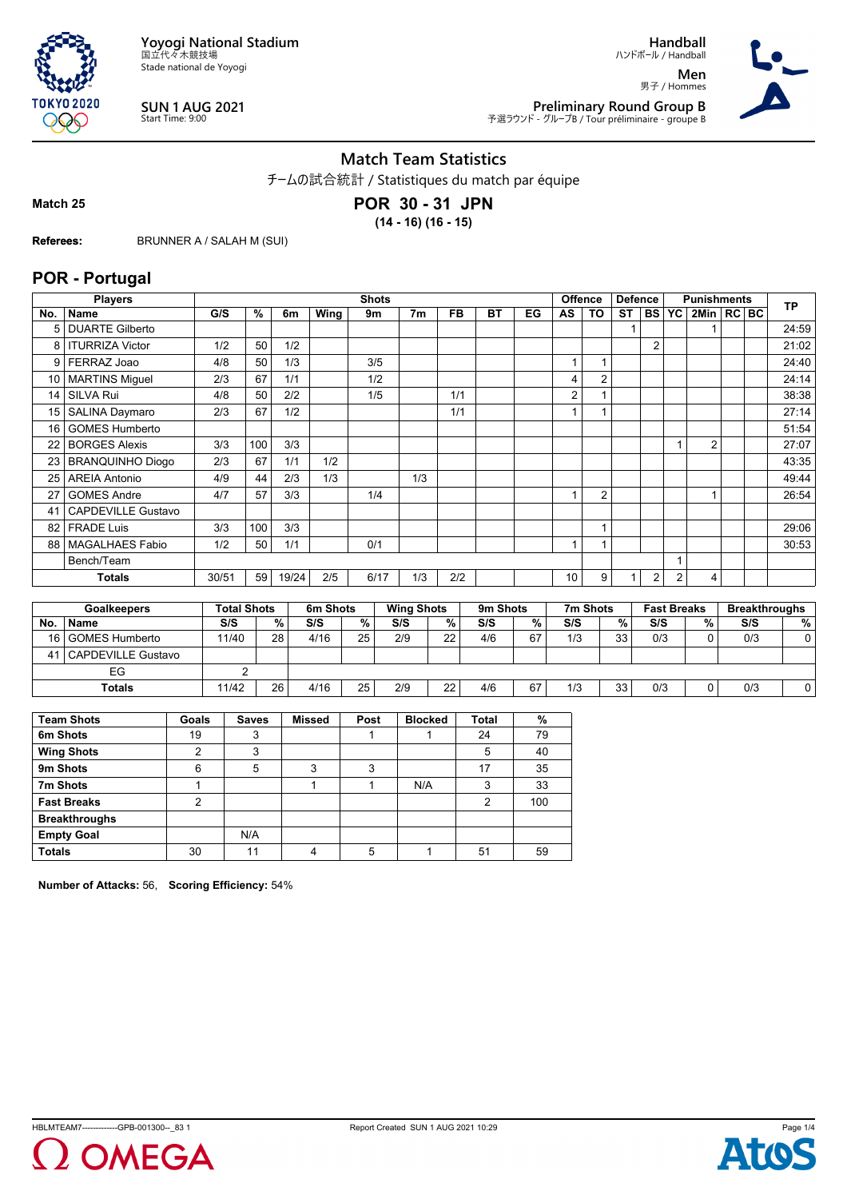

Stade national de Yoyogi

**SUN 1 AUG 2021** Start Time: 9:00

**Handball**

ハンドボール / Handball **Men** 男子 / Hommes



**Preliminary Round Group B**<br>予選ラウンド - グループB / Tour préliminaire - groupe B

## **Match Team Statistics**

チームの試合統計 / Statistiques du match par équipe

**Match 25**

**TOKYO 2020** 990

> **POR 30 - 31 JPN (14 - 16) (16 - 15)**

**Referees:** BRUNNER A / SALAH M (SUI)

### **POR - Portugal**

|                 | <b>Players</b>            |       |     | <b>Shots</b> | <b>Offence</b> |      |                |           |           |    | <b>Defence</b> |                | <b>Punishments</b> | <b>TP</b>      |                |                |  |       |
|-----------------|---------------------------|-------|-----|--------------|----------------|------|----------------|-----------|-----------|----|----------------|----------------|--------------------|----------------|----------------|----------------|--|-------|
| No.             | <b>Name</b>               | G/S   | %   | 6m           | Wing           | 9m   | 7 <sub>m</sub> | <b>FB</b> | <b>BT</b> | EG | <b>AS</b>      | TO             | <b>ST</b>          | <b>BS</b>      | YC             | 2Min   RC   BC |  |       |
| 5               | <b>DUARTE Gilberto</b>    |       |     |              |                |      |                |           |           |    |                |                |                    |                |                |                |  | 24:59 |
| 8               | <b>ITURRIZA Victor</b>    | 1/2   | 50  | 1/2          |                |      |                |           |           |    |                |                |                    | $\overline{2}$ |                |                |  | 21:02 |
| 9               | FERRAZ Joao               | 4/8   | 50  | 1/3          |                | 3/5  |                |           |           |    |                |                |                    |                |                |                |  | 24:40 |
| 10 <sup>1</sup> | <b>MARTINS Miguel</b>     | 2/3   | 67  | 1/1          |                | 1/2  |                |           |           |    | 4              | $\overline{2}$ |                    |                |                |                |  | 24:14 |
| 14              | SILVA Rui                 | 4/8   | 50  | 2/2          |                | 1/5  |                | 1/1       |           |    | 2              |                |                    |                |                |                |  | 38:38 |
| 15 <sub>1</sub> | SALINA Daymaro            | 2/3   | 67  | 1/2          |                |      |                | 1/1       |           |    |                |                |                    |                |                |                |  | 27:14 |
| 16              | <b>GOMES Humberto</b>     |       |     |              |                |      |                |           |           |    |                |                |                    |                |                |                |  | 51:54 |
| 22              | <b>BORGES Alexis</b>      | 3/3   | 100 | 3/3          |                |      |                |           |           |    |                |                |                    |                |                | 2              |  | 27:07 |
| 23 <sub>1</sub> | <b>BRANQUINHO Diogo</b>   | 2/3   | 67  | 1/1          | 1/2            |      |                |           |           |    |                |                |                    |                |                |                |  | 43:35 |
| 25              | <b>AREIA Antonio</b>      | 4/9   | 44  | 2/3          | 1/3            |      | 1/3            |           |           |    |                |                |                    |                |                |                |  | 49:44 |
| 27              | <b>GOMES Andre</b>        | 4/7   | 57  | 3/3          |                | 1/4  |                |           |           |    |                | $\overline{2}$ |                    |                |                |                |  | 26:54 |
| 41              | <b>CAPDEVILLE Gustavo</b> |       |     |              |                |      |                |           |           |    |                |                |                    |                |                |                |  |       |
| 82              | <b>FRADE Luis</b>         | 3/3   | 100 | 3/3          |                |      |                |           |           |    |                |                |                    |                |                |                |  | 29:06 |
| 88              | <b>MAGALHAES Fabio</b>    | 1/2   | 50  | 1/1          |                | 0/1  |                |           |           |    |                |                |                    |                |                |                |  | 30:53 |
|                 | Bench/Team                |       |     |              |                |      |                |           |           |    |                |                |                    |                |                |                |  |       |
|                 | Totals                    | 30/51 | 59  | 19/24        | 2/5            | 6/17 | 1/3            | 2/2       |           |    | 10             | 9              |                    | 2              | $\overline{2}$ | 4              |  |       |

|    | <b>Goalkeepers</b>      | <b>Total Shots</b> |    | 6m Shots |    | <b>Wing Shots</b> |    | 9 <sub>m</sub> Shots |    | 7m Shots |    | <b>Fast Breaks</b> |   | <b>Breakthroughs</b> |   |
|----|-------------------------|--------------------|----|----------|----|-------------------|----|----------------------|----|----------|----|--------------------|---|----------------------|---|
| No | <b>Name</b>             | S/S                | %. | S/S      | %  | S/S               | %  | S/S                  | %  | S/S      | %  | S/S                | % | S/S                  | % |
|    | 16 GOMES Humberto       | 11/40              | 28 | 4/16     | 25 | 2/9               | つつ | 4/6                  | 67 | 1/3      | 33 | 0/3                |   | 0/3                  |   |
|    | 41   CAPDEVILLE Gustavo |                    |    |          |    |                   |    |                      |    |          |    |                    |   |                      |   |
|    | EG                      |                    |    |          |    |                   |    |                      |    |          |    |                    |   |                      |   |
|    | <b>Totals</b>           | 11/42              | 26 | 4/16     | 25 | 2/9               | 22 | 4/6                  | 67 | 1/3      | 33 | 0/3                |   | 0/3                  |   |

| <b>Team Shots</b>    | Goals | <b>Saves</b> | <b>Missed</b> | Post   | <b>Blocked</b> | <b>Total</b>   | %   |
|----------------------|-------|--------------|---------------|--------|----------------|----------------|-----|
| 6m Shots             | 19    | 3            |               |        |                | 24             | 79  |
| <b>Wing Shots</b>    | 2     | 3            |               |        |                | 5              | 40  |
| 9m Shots             | 6     | 5            | 3             | ົ<br>د |                | 17             | 35  |
| 7m Shots             |       |              |               |        | N/A            | 3              | 33  |
| <b>Fast Breaks</b>   | 2     |              |               |        |                | $\overline{2}$ | 100 |
| <b>Breakthroughs</b> |       |              |               |        |                |                |     |
| <b>Empty Goal</b>    |       | N/A          |               |        |                |                |     |
| <b>Totals</b>        | 30    | 11           |               | 5      |                | 51             | 59  |

**Number of Attacks:** 56, **Scoring Efficiency:** 54%



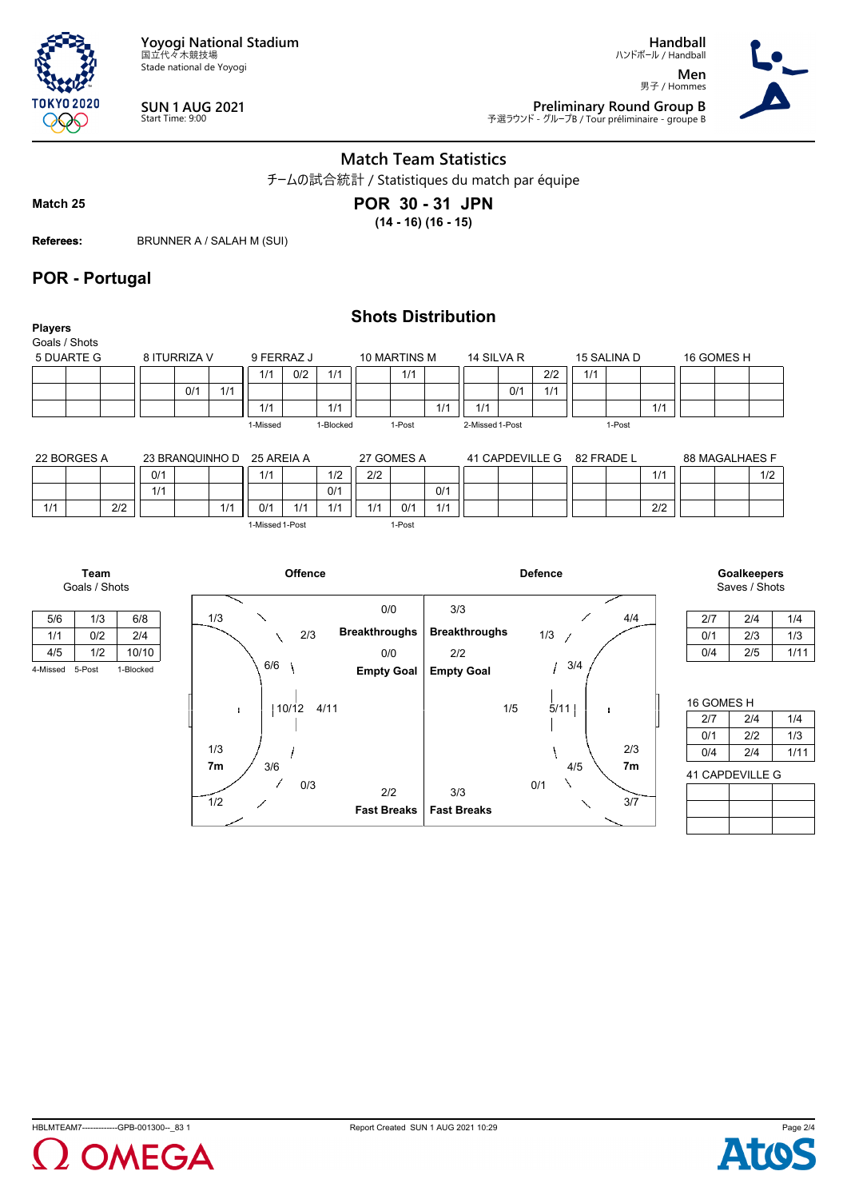

Stade national de Yoyogi

**SUN 1 AUG 2021** Start Time: 9:00

# **Match Team Statistics**

チームの試合統計 / Statistiques du match par équipe

**Match 25**

**TOKYO 2020** 999

**POR 30 - 31 JPN**

**(14 - 16) (16 - 15)**

**Referees:** BRUNNER A / SALAH M (SUI)

# **POR - Portugal**

| <b>Players</b>  |                       |     |            |              |                |                            |            |           |                      |              |     | <b>Shots Distribution</b> |                 |                          |     |                |     |                |                                     |            |
|-----------------|-----------------------|-----|------------|--------------|----------------|----------------------------|------------|-----------|----------------------|--------------|-----|---------------------------|-----------------|--------------------------|-----|----------------|-----|----------------|-------------------------------------|------------|
| Goals / Shots   | 5 DUARTE G            |     |            | 8 ITURRIZA V |                |                            | 9 FERRAZ J |           |                      | 10 MARTINS M |     | 14 SILVA R                |                 |                          |     | 15 SALINA D    |     | 16 GOMES H     |                                     |            |
|                 |                       |     |            |              |                | 1/1                        | 0/2        | 1/1       |                      | 1/1          |     |                           |                 | 2/2                      | 1/1 |                |     |                |                                     |            |
|                 |                       |     |            | 0/1          | 1/1            |                            |            |           |                      |              |     |                           | 0/1             | 1/1                      |     |                |     |                |                                     |            |
|                 |                       |     |            |              |                | 1/1                        |            | 1/1       |                      |              | 1/1 | 1/1                       |                 |                          |     |                | 1/1 |                |                                     |            |
|                 |                       |     |            |              |                | 1-Missed                   |            | 1-Blocked |                      | 1-Post       |     | 2-Missed 1-Post           |                 |                          |     | 1-Post         |     |                |                                     |            |
|                 | 22 BORGES A           |     |            |              |                | 23 BRANQUINHO D 25 AREIA A |            |           |                      | 27 GOMES A   |     |                           | 41 CAPDEVILLE G |                          |     | 82 FRADE L     |     | 88 MAGALHAES F |                                     |            |
|                 |                       |     | 0/1        |              |                | 1/1                        |            | 1/2       | 2/2                  |              |     |                           |                 |                          |     |                | 1/1 |                | 1/2                                 |            |
|                 |                       |     | 1/1        |              |                |                            |            | 0/1       |                      |              | 0/1 |                           |                 |                          |     |                |     |                |                                     |            |
| 1/1             |                       | 2/2 |            |              | 1/1            | 0/1                        | 1/1        | 1/1       | 1/1                  | 0/1          | 1/1 |                           |                 |                          |     |                | 2/2 |                |                                     |            |
|                 | Team<br>Goals / Shots |     |            |              |                |                            | Offence    |           |                      |              |     |                           |                 | <b>Defence</b>           |     |                |     |                | <b>Goalkeepers</b><br>Saves / Shots |            |
|                 |                       |     |            |              |                |                            |            |           | 0/0                  |              |     | 3/3                       |                 |                          |     |                |     |                |                                     |            |
| 5/6<br>1/1      | 1/3<br>0/2            |     | 6/8<br>2/4 |              | 1/3            |                            | 2/3        |           | <b>Breakthroughs</b> |              |     | <b>Breakthroughs</b>      |                 | 1/3                      |     | 4/4            |     | 2/7<br>0/1     | 2/4<br>2/3                          | 1/4        |
| 4/5             | 1/2                   |     | 10/10      |              |                |                            |            |           | 0/0                  |              |     | 2/2                       |                 | $\overline{\phantom{a}}$ |     |                |     | 0/4            | 2/5                                 | 1/3<br>1/1 |
| 4-Missed 5-Post |                       |     | 1-Blocked  |              |                | 6/6                        |            |           | <b>Empty Goal</b>    |              |     | <b>Empty Goal</b>         |                 |                          | 3/4 |                |     |                |                                     |            |
|                 |                       |     |            |              | ÷              |                            | 10/12 4/11 |           |                      |              |     |                           | 1/5             | 5/11                     |     | ÷              |     | 16 GOMES H     |                                     |            |
|                 |                       |     |            |              |                |                            |            |           |                      |              |     |                           |                 |                          |     |                |     | 2/7            | 2/4                                 | 1/4        |
|                 |                       |     |            |              |                |                            |            |           |                      |              |     |                           |                 |                          |     |                |     | 0/1            | 2/2                                 | 1/3        |
|                 |                       |     |            |              | 1/3            |                            |            |           |                      |              |     |                           |                 |                          |     | 2/3            |     | 0/4            | 2/4                                 | 1/1        |
|                 |                       |     |            |              | 7 <sub>m</sub> | 3/6                        | 0/3        |           |                      |              |     |                           |                 | 0/1                      | 4/5 | 7 <sub>m</sub> |     |                | <b>41 CAPDEVILLE G</b>              |            |
|                 |                       |     |            |              | 1/2            | ╱                          |            |           |                      | 2/2          |     | 3/3                       |                 |                          | ╲   | 3/7            |     |                |                                     |            |
|                 |                       |     |            |              |                |                            |            |           | <b>Fast Breaks</b>   |              |     | <b>Fast Breaks</b>        |                 |                          |     |                |     |                |                                     |            |
|                 |                       |     |            |              |                |                            |            |           |                      |              |     |                           |                 |                          |     |                |     |                |                                     |            |





**Handball** ハンドボール / Handball

**Preliminary Round Group B**<br>予選ラウンド - グループB / Tour préliminaire - groupe B

**Men** 男子 / Hommes

| 2/7 | 2/4 | 1/4  |
|-----|-----|------|
| 0/1 | 2/3 | 1/3  |
| 0/4 | 2/5 | 1/11 |

0/1 2/2 1/3  $\frac{1}{1/3}$ <br> $\frac{1}{1/11}$ 



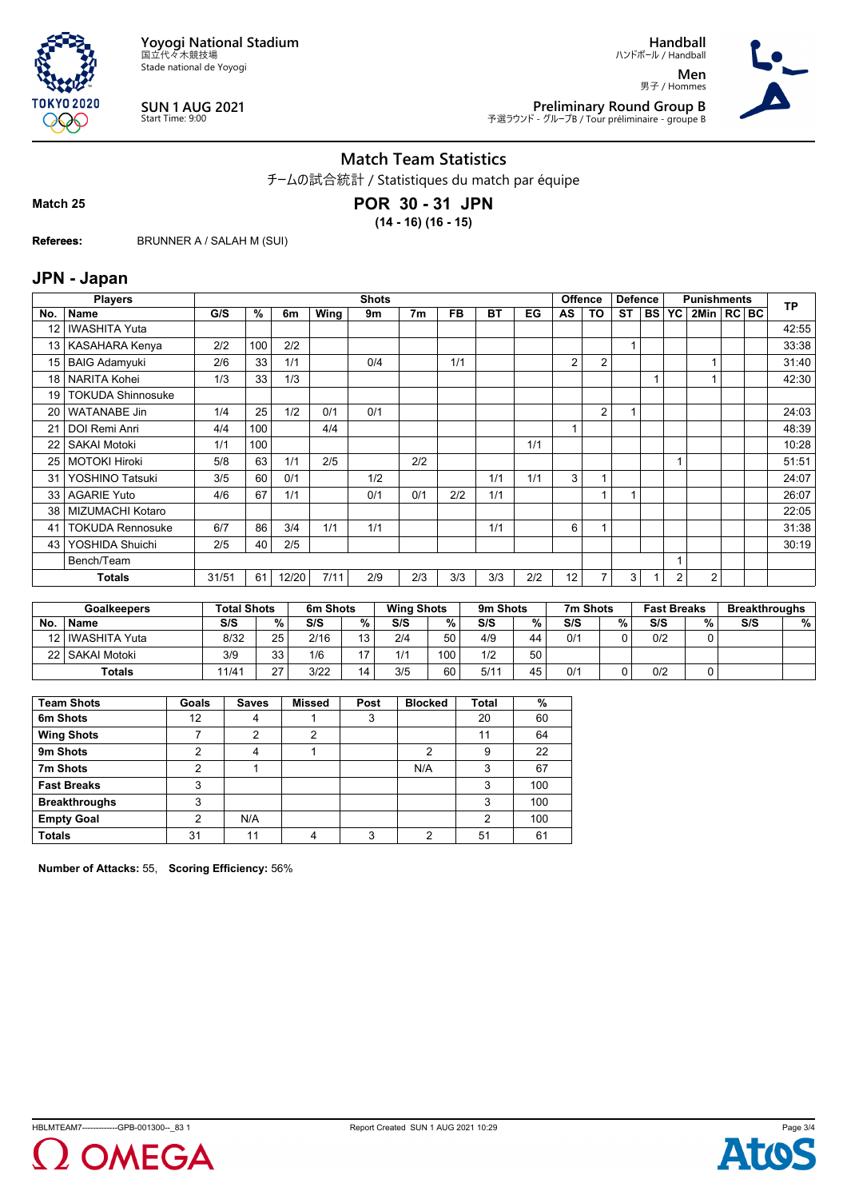

Stade national de Yoyogi

**SUN 1 AUG 2021** Start Time: 9:00

**Handball**

ハンドボール / Handball **Men** 男子 / Hommes



**Preliminary Round Group B**<br>予選ラウンド - グループB / Tour préliminaire - groupe B

## **Match Team Statistics**

チームの試合統計 / Statistiques du match par équipe

**Match 25**

**TOKYO 2020** 999

> **POR 30 - 31 JPN (14 - 16) (16 - 15)**

**Referees:** BRUNNER A / SALAH M (SUI)

#### **JPN - Japan**

|                 | <b>Players</b>           |       |     |       |      | <b>Shots</b> |                |           |     |     |                 | <b>Offence</b> | <b>Defence</b> |           |                | <b>Punishments</b> |  | <b>TP</b> |
|-----------------|--------------------------|-------|-----|-------|------|--------------|----------------|-----------|-----|-----|-----------------|----------------|----------------|-----------|----------------|--------------------|--|-----------|
| No.             | <b>Name</b>              | G/S   | %   | 6m    | Wing | 9m           | 7 <sub>m</sub> | <b>FB</b> | BT  | EG  | AS              | TO             | <b>ST</b>      | <b>BS</b> | YC             | 2Min   RC   BC     |  |           |
| 12              | <b>IWASHITA Yuta</b>     |       |     |       |      |              |                |           |     |     |                 |                |                |           |                |                    |  | 42:55     |
| 13 <sup>1</sup> | KASAHARA Kenya           | 2/2   | 100 | 2/2   |      |              |                |           |     |     |                 |                | 1              |           |                |                    |  | 33:38     |
| 15 <sub>1</sub> | <b>BAIG Adamyuki</b>     | 2/6   | 33  | 1/1   |      | 0/4          |                | 1/1       |     |     | 2               | 2              |                |           |                |                    |  | 31:40     |
| 18 <sup>1</sup> | <b>NARITA Kohei</b>      | 1/3   | 33  | 1/3   |      |              |                |           |     |     |                 |                |                |           |                |                    |  | 42:30     |
| 19              | <b>TOKUDA Shinnosuke</b> |       |     |       |      |              |                |           |     |     |                 |                |                |           |                |                    |  |           |
| 20              | <b>WATANABE Jin</b>      | 1/4   | 25  | 1/2   | 0/1  | 0/1          |                |           |     |     |                 | $\overline{2}$ |                |           |                |                    |  | 24:03     |
| 21              | DOI Remi Anri            | 4/4   | 100 |       | 4/4  |              |                |           |     |     |                 |                |                |           |                |                    |  | 48:39     |
| 22              | <b>SAKAI Motoki</b>      | 1/1   | 100 |       |      |              |                |           |     | 1/1 |                 |                |                |           |                |                    |  | 10:28     |
| 25              | <b>MOTOKI Hiroki</b>     | 5/8   | 63  | 1/1   | 2/5  |              | 2/2            |           |     |     |                 |                |                |           |                |                    |  | 51:51     |
| 31              | YOSHINO Tatsuki          | 3/5   | 60  | 0/1   |      | 1/2          |                |           | 1/1 | 1/1 | 3               |                |                |           |                |                    |  | 24:07     |
| 33 <sub>1</sub> | <b>AGARIE Yuto</b>       | 4/6   | 67  | 1/1   |      | 0/1          | 0/1            | 2/2       | 1/1 |     |                 |                |                |           |                |                    |  | 26:07     |
| 38              | MIZUMACHI Kotaro         |       |     |       |      |              |                |           |     |     |                 |                |                |           |                |                    |  | 22:05     |
| 41              | <b>TOKUDA Rennosuke</b>  | 6/7   | 86  | 3/4   | 1/1  | 1/1          |                |           | 1/1 |     | 6               |                |                |           |                |                    |  | 31:38     |
| 43              | YOSHIDA Shuichi          | 2/5   | 40  | 2/5   |      |              |                |           |     |     |                 |                |                |           |                |                    |  | 30:19     |
|                 | Bench/Team               |       |     |       |      |              |                |           |     |     |                 |                |                |           |                |                    |  |           |
|                 | <b>Totals</b>            | 31/51 | 61  | 12/20 | 7/11 | 2/9          | 2/3            | 3/3       | 3/3 | 2/2 | 12 <sup>2</sup> |                | 3              |           | $\overline{2}$ | $\overline{2}$     |  |           |

|      | <b>Goalkeepers</b> | <b>Total Shots</b> |    | 6m Shots |                 | <b>Wing Shots</b> |     | 9m Shots |    | 7m Shots |   | <b>Fast Breaks</b> |     | <b>Breakthroughs</b> |   |
|------|--------------------|--------------------|----|----------|-----------------|-------------------|-----|----------|----|----------|---|--------------------|-----|----------------------|---|
| No.  | <b>Name</b>        | S/S                | %  | S/S      | %               | S/S               | %   | S/S      | %  | S/S      | % | S/S                | 0/2 | S/S                  | % |
| 12 I | l IWASHITA Yuta    | 8/32               | 25 | 2/16     | 13 <sub>1</sub> | 2/4               | 50  | 4/9      | 44 | 0/1      |   | 0/2                |     |                      |   |
| 22 I | SAKAI Motoki       | 3/9                | 33 | 1/6      |                 | 1/1               | 100 | 1/2      | 50 |          |   |                    |     |                      |   |
|      | <b>Totals</b>      | 11/41              | 27 | 3/22     | 14              | 3/5               | 60  | 5/11     | 45 | 0/1      |   | 0/2                |     |                      |   |

| <b>Team Shots</b>    | Goals          | <b>Saves</b> | <b>Missed</b> | Post | <b>Blocked</b> | <b>Total</b> | %   |
|----------------------|----------------|--------------|---------------|------|----------------|--------------|-----|
| 6m Shots             | 12             | 4            |               | 3    |                | 20           | 60  |
| <b>Wing Shots</b>    |                | 2            | 2             |      |                | 11           | 64  |
| 9m Shots             | 2              | 4            |               |      | 2              | 9            | 22  |
| 7m Shots             | $\overline{2}$ |              |               |      | N/A            | 3            | 67  |
| <b>Fast Breaks</b>   | 3              |              |               |      |                | 3            | 100 |
| <b>Breakthroughs</b> | 3              |              |               |      |                | 3            | 100 |
| <b>Empty Goal</b>    | っ              | N/A          |               |      |                | 2            | 100 |
| <b>Totals</b>        | 31             | 11           |               | 3    | ⌒              | 51           | 61  |

**Number of Attacks:** 55, **Scoring Efficiency:** 56%